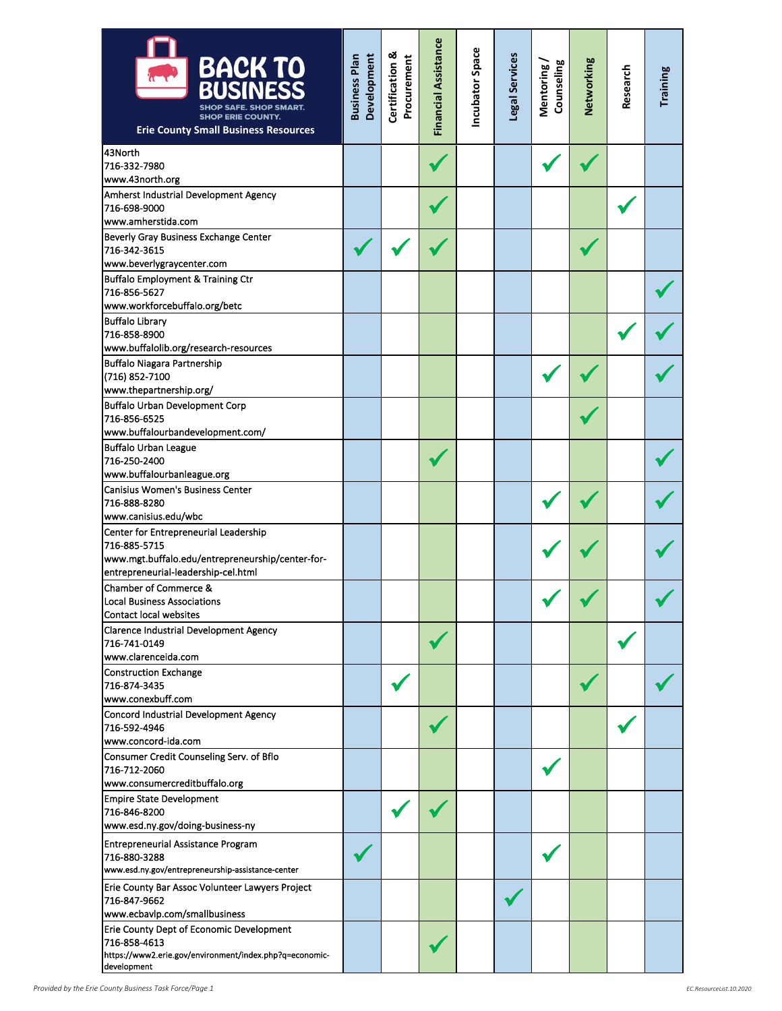| <b>BACK TO<br/>BUSINESS</b><br><b>SHOP ERIE COUNTY.</b><br><b>Erie County Small Business Resources</b>                                           | Development<br><b>Business Plan</b> | <b>Certification &amp;</b><br>Procurement | <b>Financial Assistance</b> | Incubator Space | Legal Services | Counseling<br>Mentoring | Networking | Research | <b>Training</b> |
|--------------------------------------------------------------------------------------------------------------------------------------------------|-------------------------------------|-------------------------------------------|-----------------------------|-----------------|----------------|-------------------------|------------|----------|-----------------|
| 43North<br>716-332-7980<br>www.43north.org                                                                                                       |                                     |                                           |                             |                 |                |                         |            |          |                 |
| Amherst Industrial Development Agency<br>716-698-9000<br>www.amherstida.com                                                                      |                                     |                                           |                             |                 |                |                         |            |          |                 |
| Beverly Gray Business Exchange Center<br>716-342-3615<br>www.beverlygraycenter.com                                                               |                                     |                                           |                             |                 |                |                         |            |          |                 |
| Buffalo Employment & Training Ctr<br>716-856-5627<br>www.workforcebuffalo.org/betc                                                               |                                     |                                           |                             |                 |                |                         |            |          |                 |
| <b>Buffalo Library</b><br>716-858-8900<br>www.buffalolib.org/research-resources                                                                  |                                     |                                           |                             |                 |                |                         |            |          |                 |
| <b>Buffalo Niagara Partnership</b><br>(716) 852-7100<br>www.thepartnership.org/                                                                  |                                     |                                           |                             |                 |                |                         |            |          |                 |
| <b>Buffalo Urban Development Corp</b><br>716-856-6525<br>www.buffalourbandevelopment.com/                                                        |                                     |                                           |                             |                 |                |                         |            |          |                 |
| Buffalo Urban League<br>716-250-2400<br>www.buffalourbanleague.org                                                                               |                                     |                                           |                             |                 |                |                         |            |          |                 |
| Canisius Women's Business Center<br>716-888-8280<br>www.canisius.edu/wbc                                                                         |                                     |                                           |                             |                 |                |                         |            |          |                 |
| Center for Entrepreneurial Leadership<br>716-885-5715<br>www.mgt.buffalo.edu/entrepreneurship/center-for-<br>entrepreneurial-leadership-cel.html |                                     |                                           |                             |                 |                |                         |            |          |                 |
| Chamber of Commerce &<br>Local Business Associations<br>Contact local websites                                                                   |                                     |                                           |                             |                 |                |                         |            |          |                 |
| <b>Clarence Industrial Development Agency</b><br>716-741-0149<br>www.clarenceida.com                                                             |                                     |                                           |                             |                 |                |                         |            |          |                 |
| <b>Construction Exchange</b><br>716-874-3435<br>www.conexbuff.com                                                                                |                                     |                                           |                             |                 |                |                         |            |          |                 |
| Concord Industrial Development Agency<br>716-592-4946<br>www.concord-ida.com                                                                     |                                     |                                           |                             |                 |                |                         |            |          |                 |
| Consumer Credit Counseling Serv. of Bflo<br>716-712-2060<br>www.consumercreditbuffalo.org                                                        |                                     |                                           |                             |                 |                |                         |            |          |                 |
| <b>Empire State Development</b><br>716-846-8200<br>www.esd.ny.gov/doing-business-ny                                                              |                                     |                                           |                             |                 |                |                         |            |          |                 |
| <b>Entrepreneurial Assistance Program</b><br>716-880-3288<br>www.esd.ny.gov/entrepreneurship-assistance-center                                   |                                     |                                           |                             |                 |                |                         |            |          |                 |
| Erie County Bar Assoc Volunteer Lawyers Project<br>716-847-9662<br>www.ecbavlp.com/smallbusiness                                                 |                                     |                                           |                             |                 |                |                         |            |          |                 |
| Erie County Dept of Economic Development<br>716-858-4613<br>https://www2.erie.gov/environment/index.php?q=economic-<br>development               |                                     |                                           |                             |                 |                |                         |            |          |                 |